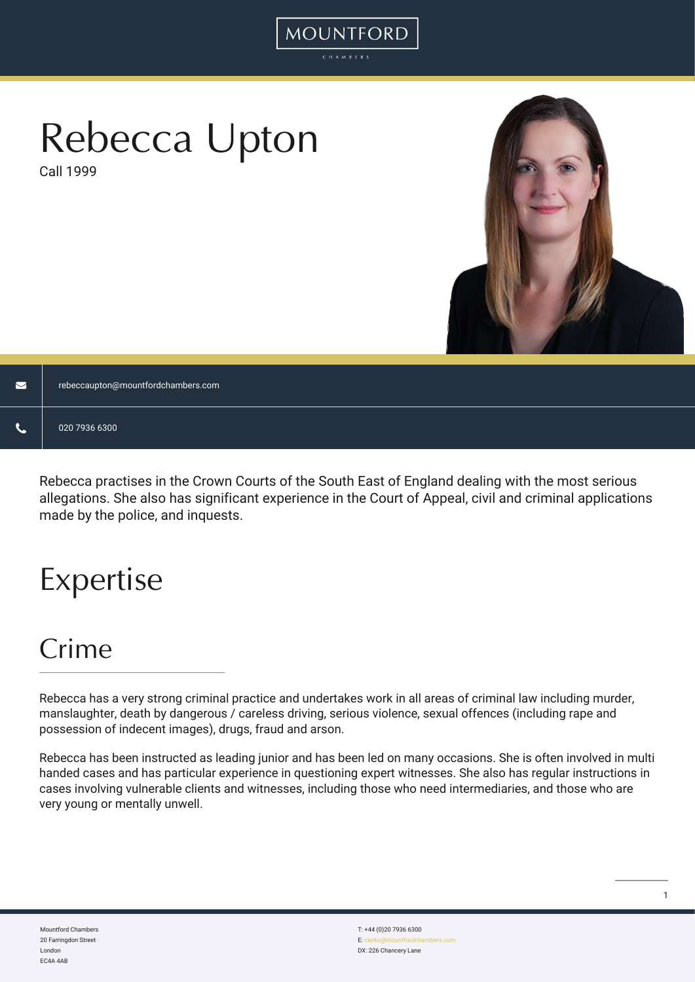# Rebecca Upton

Call 1999



| $\blacksquare$ | rebeccaupton@mountfordchambers.com |
|----------------|------------------------------------|
| ╰              | 020 7936 6300                      |

MOUNTFORD

Rebecca practises in the Crown Courts of the South East of England dealing with the most serious allegations. She also has significant experience in the Court of Appeal, civil and criminal applications made by the police, and inquests.

# Expertise

### Crime

Rebecca has a very strong criminal practice and undertakes work in all areas of criminal law including murder, manslaughter, death by dangerous / careless driving, serious violence, sexual offences (including rape and possession of indecent images), drugs, fraud and arson.

Rebecca has been instructed as leading junior and has been led on many occasions. She is often involved in multi handed cases and has particular experience in questioning expert witnesses. She also has regular instructions in cases involving vulnerable clients and witnesses, including those who need intermediaries, and those who are very young or mentally unwell.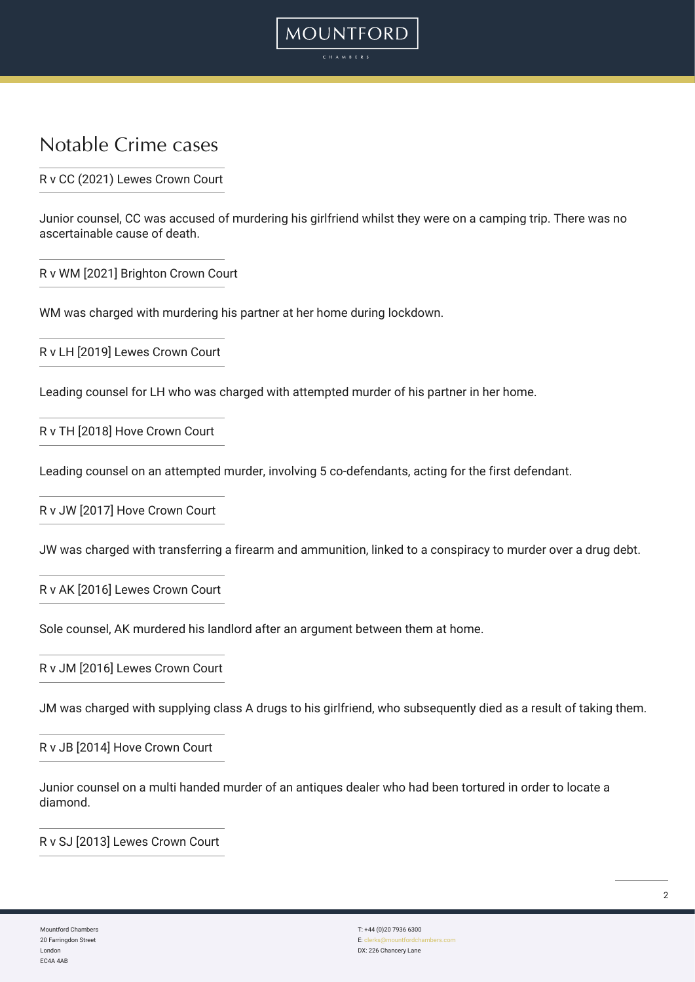#### Notable Crime cases

R v CC (2021) Lewes Crown Court

Junior counsel, CC was accused of murdering his girlfriend whilst they were on a camping trip. There was no ascertainable cause of death.

**MOUNTFORD** 

R v WM [2021] Brighton Crown Court

WM was charged with murdering his partner at her home during lockdown.

R v LH [2019] Lewes Crown Court

Leading counsel for LH who was charged with attempted murder of his partner in her home.

R v TH [2018] Hove Crown Court

Leading counsel on an attempted murder, involving 5 co-defendants, acting for the first defendant.

R v JW [2017] Hove Crown Court

JW was charged with transferring a firearm and ammunition, linked to a conspiracy to murder over a drug debt.

R v AK [2016] Lewes Crown Court

Sole counsel, AK murdered his landlord after an argument between them at home.

R v JM [2016] Lewes Crown Court

JM was charged with supplying class A drugs to his girlfriend, who subsequently died as a result of taking them.

R v JB [2014] Hove Crown Court

Junior counsel on a multi handed murder of an antiques dealer who had been tortured in order to locate a diamond.

R v SJ [2013] Lewes Crown Court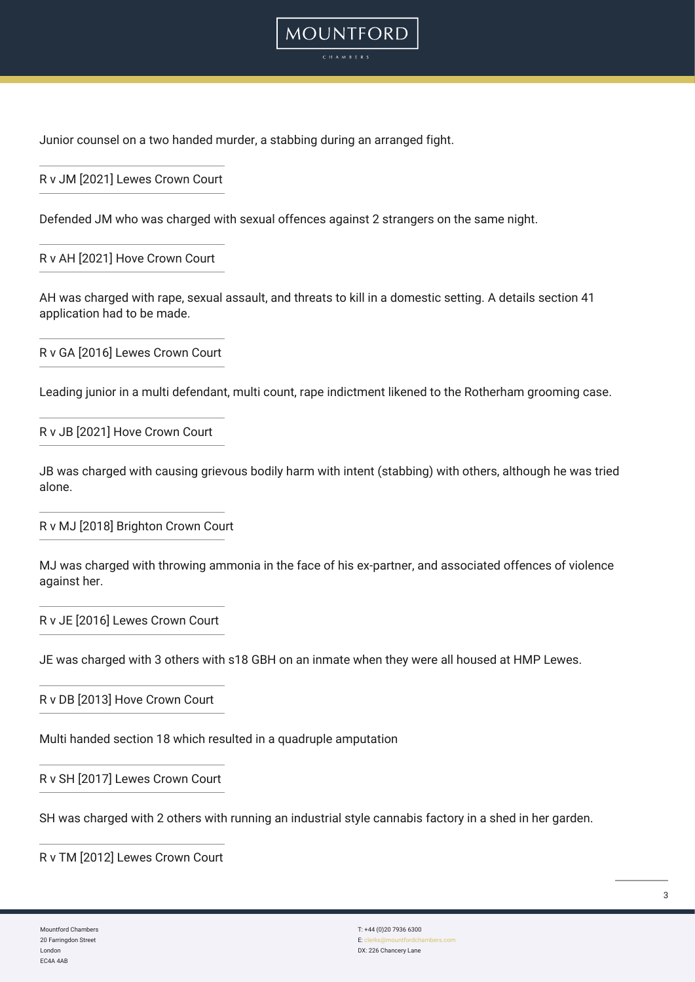

R v JM [2021] Lewes Crown Court

Defended JM who was charged with sexual offences against 2 strangers on the same night.

R v AH [2021] Hove Crown Court

AH was charged with rape, sexual assault, and threats to kill in a domestic setting. A details section 41 application had to be made.

**MOUNTFORD** 

R v GA [2016] Lewes Crown Court

Leading junior in a multi defendant, multi count, rape indictment likened to the Rotherham grooming case.

R v JB [2021] Hove Crown Court

JB was charged with causing grievous bodily harm with intent (stabbing) with others, although he was tried alone.

R v MJ [2018] Brighton Crown Court

MJ was charged with throwing ammonia in the face of his ex-partner, and associated offences of violence against her.

R v JE [2016] Lewes Crown Court

JE was charged with 3 others with s18 GBH on an inmate when they were all housed at HMP Lewes.

R v DB [2013] Hove Crown Court

Multi handed section 18 which resulted in a quadruple amputation

R v SH [2017] Lewes Crown Court

SH was charged with 2 others with running an industrial style cannabis factory in a shed in her garden.

R v TM [2012] Lewes Crown Court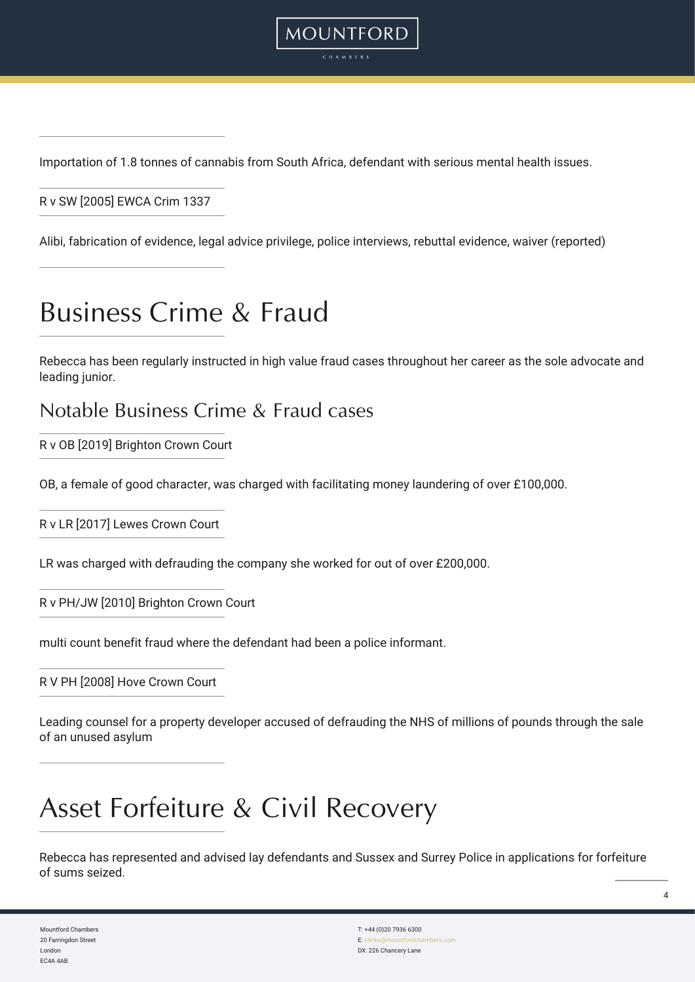

Importation of 1.8 tonnes of cannabis from South Africa, defendant with serious mental health issues.

R v SW [2005] EWCA Crim 1337

Alibi, fabrication of evidence, legal advice privilege, police interviews, rebuttal evidence, waiver (reported)

### Business Crime & Fraud

Rebecca has been regularly instructed in high value fraud cases throughout her career as the sole advocate and leading junior.

#### Notable Business Crime & Fraud cases

R v OB [2019] Brighton Crown Court

OB, a female of good character, was charged with facilitating money laundering of over £100,000.

R v LR [2017] Lewes Crown Court

LR was charged with defrauding the company she worked for out of over £200,000.

R v PH/JW [2010] Brighton Crown Court

multi count benefit fraud where the defendant had been a police informant.

#### R V PH [2008] Hove Crown Court

Leading counsel for a property developer accused of defrauding the NHS of millions of pounds through the sale of an unused asylum

### Asset Forfeiture & Civil Recovery

Rebecca has represented and advised lay defendants and Sussex and Surrey Police in applications for forfeiture of sums seized.

Mountford Chambers 20 Farringdon Street London EC4A 4AB

T: +44 (0)20 7936 6300 E: cle DX: 226 Chancery Lane  $\overline{A}$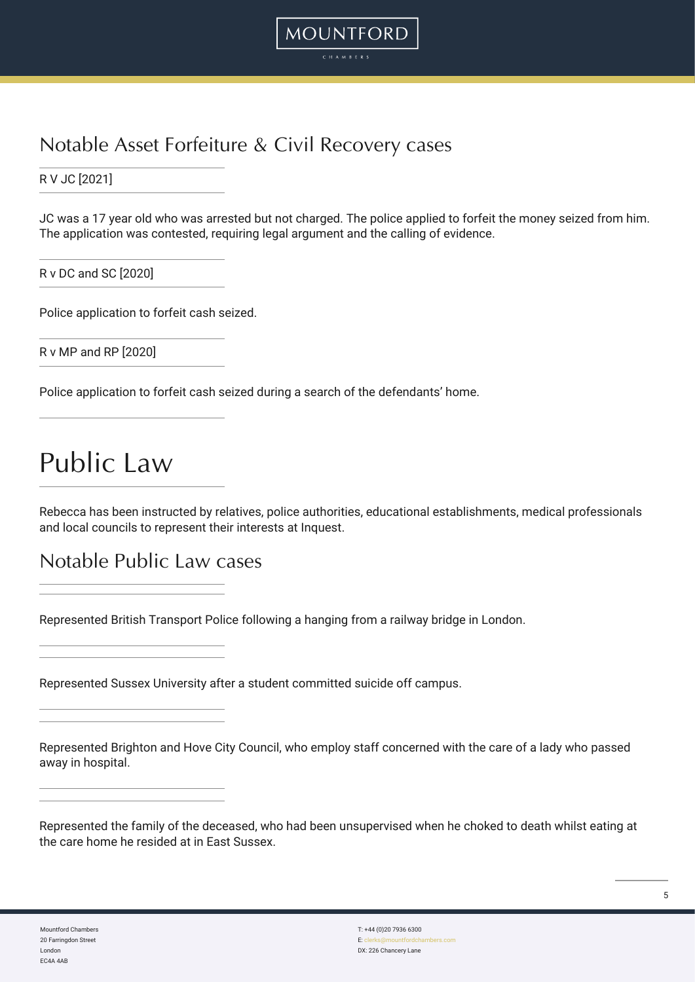

### Notable Asset Forfeiture & Civil Recovery cases

R V JC [2021]

JC was a 17 year old who was arrested but not charged. The police applied to forfeit the money seized from him. The application was contested, requiring legal argument and the calling of evidence.

R v DC and SC [2020]

Police application to forfeit cash seized.

R v MP and RP [2020]

Police application to forfeit cash seized during a search of the defendants' home.

### Public Law

Rebecca has been instructed by relatives, police authorities, educational establishments, medical professionals and local councils to represent their interests at Inquest.

Notable Public Law cases

Represented British Transport Police following a hanging from a railway bridge in London.

Represented Sussex University after a student committed suicide off campus.

Represented Brighton and Hove City Council, who employ staff concerned with the care of a lady who passed away in hospital.

| Represented the family of the deceased, who had been unsupervised when he choked to death whilst eating at |  |
|------------------------------------------------------------------------------------------------------------|--|
| the care home he resided at in East Sussex.                                                                |  |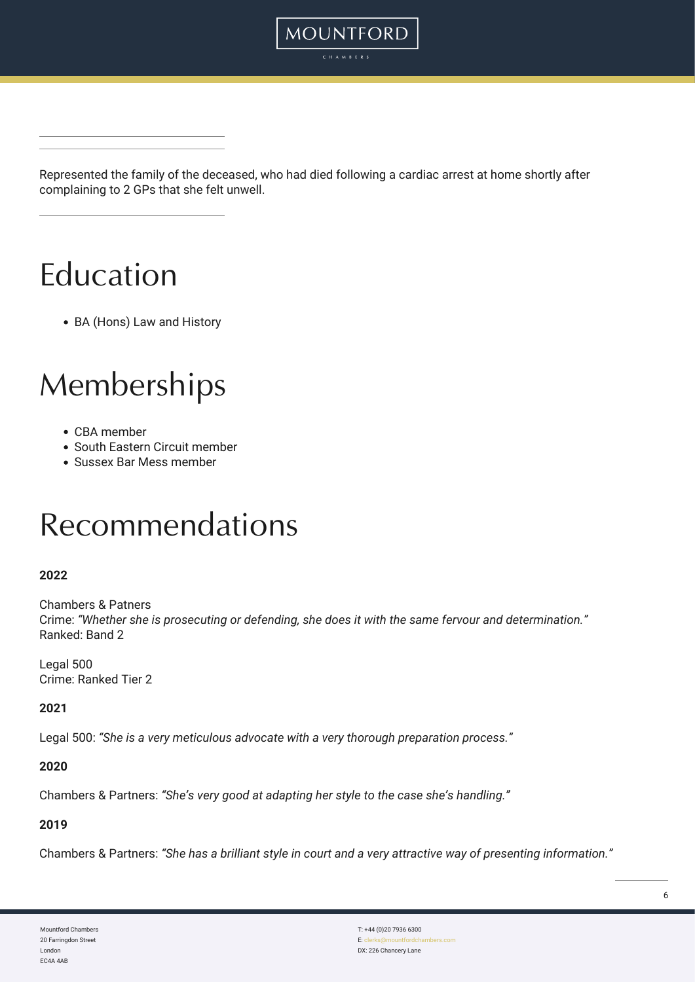

**MOUNTFORD** CHAMBER:

Represented the family of the deceased, who had died following a cardiac arrest at home shortly after complaining to 2 GPs that she felt unwell.

# Education

BA (Hons) Law and History

## Memberships

- CBA member
- South Eastern Circuit member
- Sussex Bar Mess member

## Recommendations

#### **2022**

Chambers & Patners Crime: *"Whether she is prosecuting or defending, she does it with the same fervour and determination."* Ranked: Band 2

Legal 500 Crime: Ranked Tier 2

**2021**

Legal 500: *"She is a very meticulous advocate with a very thorough preparation process."*

#### **2020**

Chambers & Partners: *"She's very good at adapting her style to the case she's handling."*

#### **2019**

Chambers & Partners: *"She has a brilliant style in court and a very attractive way of presenting information."*